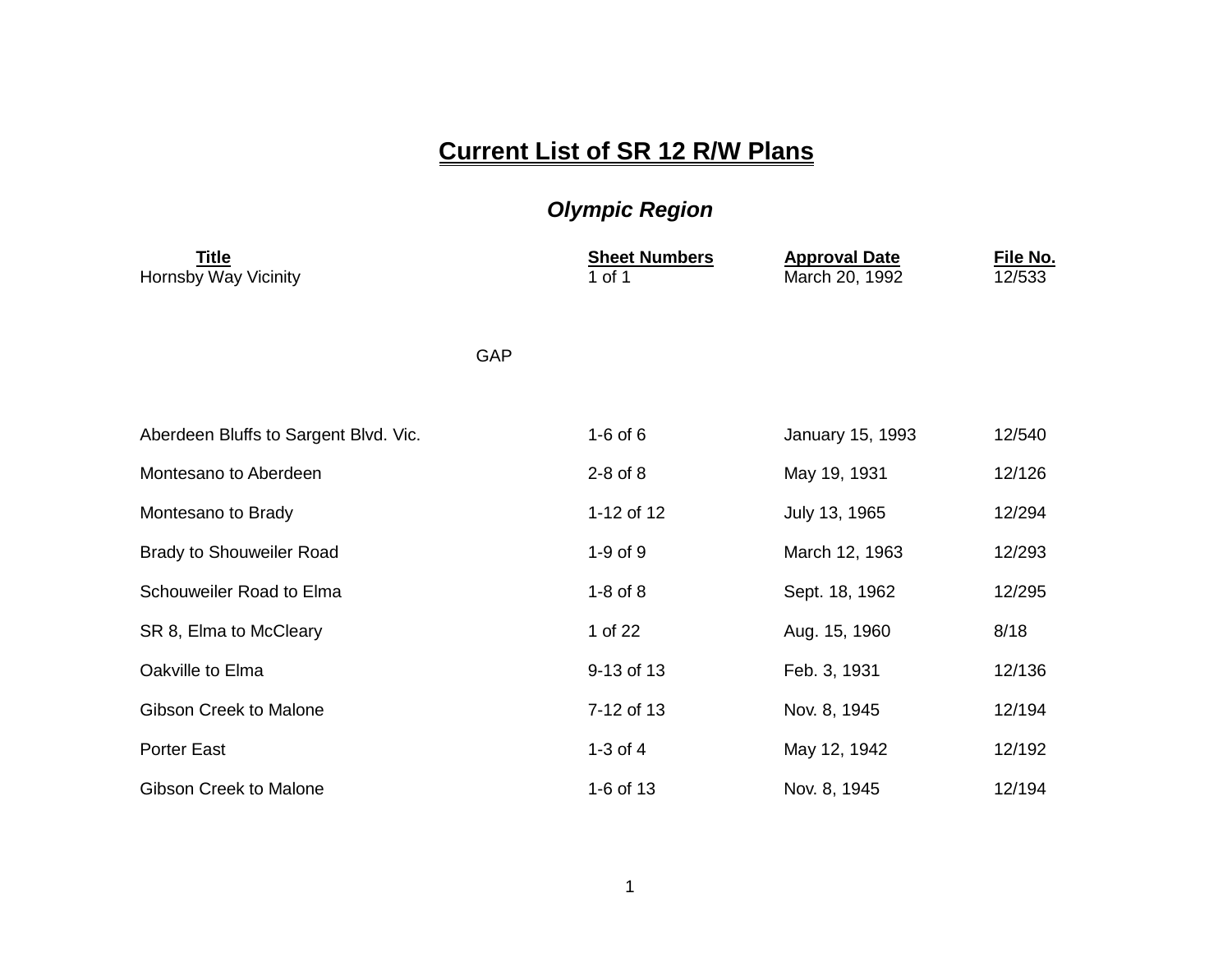## **Current List of SR 12 R/W Plans**

## *Olympic Region*

| <b>Title</b><br>Hornsby Way Vicinity  |     | <b>Sheet Numbers</b><br>1 of 1 | <b>Approval Date</b><br>March 20, 1992 | File No.<br>12/533 |
|---------------------------------------|-----|--------------------------------|----------------------------------------|--------------------|
|                                       | GAP |                                |                                        |                    |
| Aberdeen Bluffs to Sargent Blvd. Vic. |     | $1-6$ of $6$                   | January 15, 1993                       | 12/540             |
| Montesano to Aberdeen                 |     | $2-8$ of $8$                   | May 19, 1931                           | 12/126             |
| Montesano to Brady                    |     | 1-12 of 12                     | July 13, 1965                          | 12/294             |
| <b>Brady to Shouweiler Road</b>       |     | $1-9$ of $9$                   | March 12, 1963                         | 12/293             |
| Schouweiler Road to Elma              |     | $1-8$ of $8$                   | Sept. 18, 1962                         | 12/295             |
| SR 8, Elma to McCleary                |     | 1 of 22                        | Aug. 15, 1960                          | 8/18               |
| Oakville to Elma                      |     | 9-13 of 13                     | Feb. 3, 1931                           | 12/136             |
| <b>Gibson Creek to Malone</b>         |     | 7-12 of 13                     | Nov. 8, 1945                           | 12/194             |
| <b>Porter East</b>                    |     | 1-3 of $4$                     | May 12, 1942                           | 12/192             |
| Gibson Creek to Malone                |     | 1-6 of 13                      | Nov. 8, 1945                           | 12/194             |